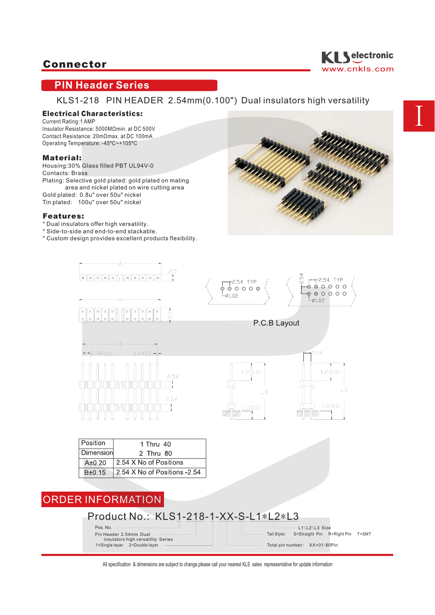

## **PIN Header Series**

KLS1-218 PIN HEADER 2.54mm(0.100") Dual insulators high versatility

## Electrical Characteristics:

Current Rating: 1 AMP Insulator Resistance: 5000MΩmin. at DC 500V Contact Resistance: 20mΩmax. at DC 100mA Operating Temperature: -45ºC~+105ºC

#### Material:

Housing:30% Glass filled PBT UL94V-0 Contacts: Brass Plating: Selective gold plated: gold plated on mating area and nickel plated on wire cutting area Gold plated: 0.8u" over 50u" nickel Tin plated: 100u" over 50u" nickel

#### Features:

- \* Dual insulators offer high versatility.
- \* Side-to-side and end-to-end stackable.
- \* Custom design provides excellent products flexibility.



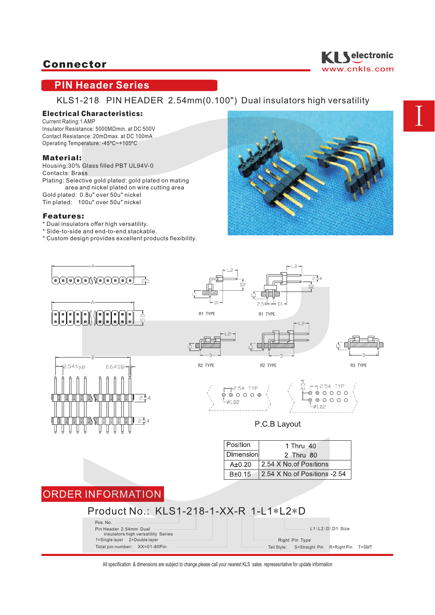

# **PIN Header Series**

KLS1-218 PIN HEADER 2.54mm(0.100") Dual insulators high versatility

### Electrical Characteristics:

Current Rating: 1 AMP Insulator Resistance: 5000MΩmin. at DC 500V Contact Resistance: 20mΩmax. at DC 100mA Operating Temperature: -45ºC~+105ºC

#### Material:

Housing:30% Glass filled PBT UL94V-0 Contacts: Brass Plating: Selective gold plated: gold plated on mating area and nickel plated on wire cutting area Gold plated: 0.8u" over 50u" nickel Tin plated: 100u" over 50u" nickel

#### Features:

- \* Dual insulators offer high versatility.
- \* Side-to-side and end-to-end stackable.
- \* Custom design provides excellent products flexibility.



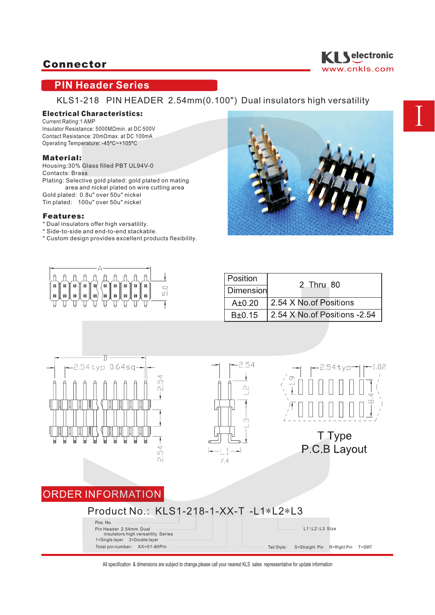

# **PIN Header Series**

KLS1-218 PIN HEADER 2.54mm(0.100") Dual insulators high versatility

### Electrical Characteristics:

Current Rating: 1 AMP Insulator Resistance: 5000MΩmin. at DC 500V Contact Resistance: 20mΩmax. at DC 100mA Operating Temperature: -45ºC~+105ºC

#### Material:

Housing:30% Glass filled PBT UL94V-0 Contacts: Brass Plating: Selective gold plated: gold plated on mating area and nickel plated on wire cutting area Gold plated: 0.8u" over 50u" nickel Tin plated: 100u" over 50u" nickel

#### Features:

- \* Dual insulators offer high versatility.
- \* Side-to-side and end-to-end stackable.
- \* Custom design provides excellent products flexibility.





| Position   | 2 Thru 80                            |
|------------|--------------------------------------|
| Dimension  |                                      |
| $A\pm0.20$ | 2.54 X No.of Positions               |
| $B\pm0.15$ | $\vert$ 2.54 X No of Positions -2.54 |